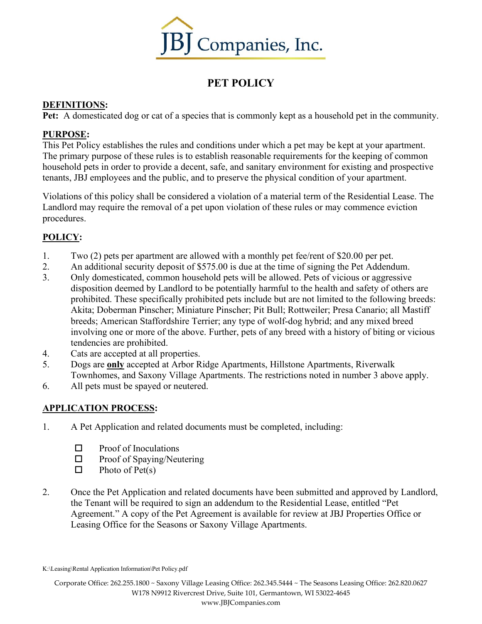

# **PET POLICY**

## **DEFINITIONS:**

**Pet:** A domesticated dog or cat of a species that is commonly kept as a household pet in the community.

## **PURPOSE:**

This Pet Policy establishes the rules and conditions under which a pet may be kept at your apartment. The primary purpose of these rules is to establish reasonable requirements for the keeping of common household pets in order to provide a decent, safe, and sanitary environment for existing and prospective tenants, JBJ employees and the public, and to preserve the physical condition of your apartment.

Violations of this policy shall be considered a violation of a material term of the Residential Lease. The Landlord may require the removal of a pet upon violation of these rules or may commence eviction procedures.

## **POLICY:**

- 1. Two (2) pets per apartment are allowed with a monthly pet fee/rent of \$20.00 per pet.
- 2. An additional security deposit of \$575.00 is due at the time of signing the Pet Addendum.
- 3. Only domesticated, common household pets will be allowed. Pets of vicious or aggressive disposition deemed by Landlord to be potentially harmful to the health and safety of others are prohibited. These specifically prohibited pets include but are not limited to the following breeds: Akita; Doberman Pinscher; Miniature Pinscher; Pit Bull; Rottweiler; Presa Canario; all Mastiff breeds; American Staffordshire Terrier; any type of wolf-dog hybrid; and any mixed breed involving one or more of the above. Further, pets of any breed with a history of biting or vicious tendencies are prohibited.
- 4. Cats are accepted at all properties.
- 5. Dogs are **only** accepted at Arbor Ridge Apartments, Hillstone Apartments, Riverwalk Townhomes, and Saxony Village Apartments. The restrictions noted in number 3 above apply.
- 6. All pets must be spayed or neutered.

## **APPLICATION PROCESS:**

- 1. A Pet Application and related documents must be completed, including:
	- $\Box$  Proof of Inoculations
	- $\square$  Proof of Spaying/Neutering
	- $\Box$  Photo of Pet(s)
- 2. Once the Pet Application and related documents have been submitted and approved by Landlord, the Tenant will be required to sign an addendum to the Residential Lease, entitled "Pet Agreement." A copy of the Pet Agreement is available for review at JBJ Properties Office or Leasing Office for the Seasons or Saxony Village Apartments.

K:\Leasing\Rental Application Information\Pet Policy.pdf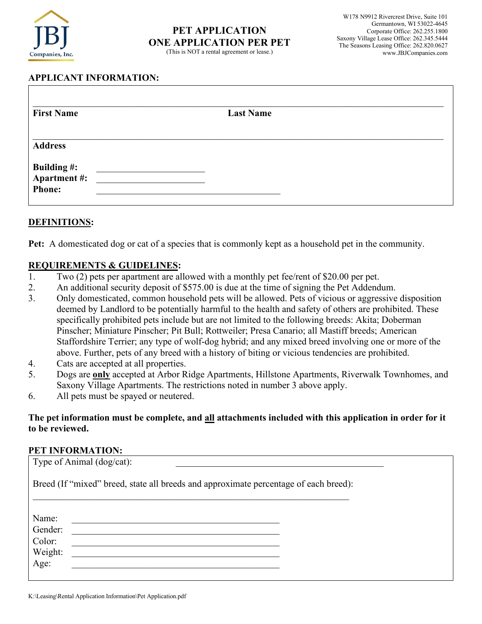

## **PET APPLICATION ONE APPLICATION PER PET**

(This is NOT a rental agreement or lease.)

## **APPLICANT INFORMATION:**

| <b>First Name</b>                                   | <b>Last Name</b> |  |
|-----------------------------------------------------|------------------|--|
| <b>Address</b>                                      |                  |  |
| <b>Building #:</b><br>Apartment #:<br><b>Phone:</b> |                  |  |

#### **DEFINITIONS:**

**Pet:** A domesticated dog or cat of a species that is commonly kept as a household pet in the community.

#### **REQUIREMENTS & GUIDELINES:**

- 1. Two (2) pets per apartment are allowed with a monthly pet fee/rent of \$20.00 per pet.
- 2. An additional security deposit of \$575.00 is due at the time of signing the Pet Addendum.
- 3. Only domesticated, common household pets will be allowed. Pets of vicious or aggressive disposition deemed by Landlord to be potentially harmful to the health and safety of others are prohibited. These specifically prohibited pets include but are not limited to the following breeds: Akita; Doberman Pinscher; Miniature Pinscher; Pit Bull; Rottweiler; Presa Canario; all Mastiff breeds; American Staffordshire Terrier; any type of wolf-dog hybrid; and any mixed breed involving one or more of the above. Further, pets of any breed with a history of biting or vicious tendencies are prohibited.
- 4. Cats are accepted at all properties.
- 5. Dogs are **only** accepted at Arbor Ridge Apartments, Hillstone Apartments, Riverwalk Townhomes, and Saxony Village Apartments. The restrictions noted in number 3 above apply.
- 6. All pets must be spayed or neutered.

#### **The pet information must be complete, and all attachments included with this application in order for it to be reviewed.**

#### **PET INFORMATION:**

| Type of Animal (dog/cat):                                                            |  |  |  |  |
|--------------------------------------------------------------------------------------|--|--|--|--|
| Breed (If "mixed" breed, state all breeds and approximate percentage of each breed): |  |  |  |  |
|                                                                                      |  |  |  |  |
| Name:                                                                                |  |  |  |  |
| Gender:                                                                              |  |  |  |  |
| Color:                                                                               |  |  |  |  |
| Weight:                                                                              |  |  |  |  |
| Age:                                                                                 |  |  |  |  |
|                                                                                      |  |  |  |  |